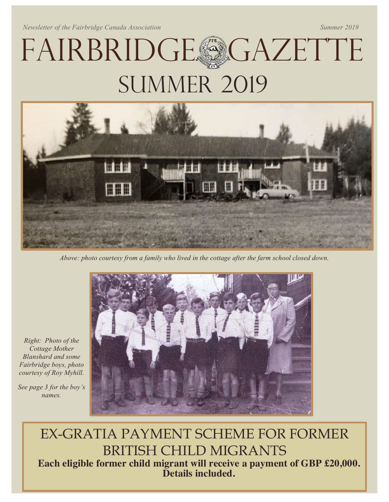*Newsletter of the Fairbridge Canada Association* Summer 2019 Summer 2019

# FAIRBRIDGE GAZETTE **SUMMER 2019**



*Above: photo courtesy from a family who lived in the cottage after the farm school closed down.*



*Right: Photo of the Cottage Mother Blanshard and some Fairbridge boys, photo courtesy of Roy Myhill.*

*See page 3 for the boy's names.*

> EX-GRATIA PAYMENT SCHEME FOR FORMER BRITISH CHILD MIGRANTS Each eligible former child migrant will receive a payment of GBP £20,000. Details included.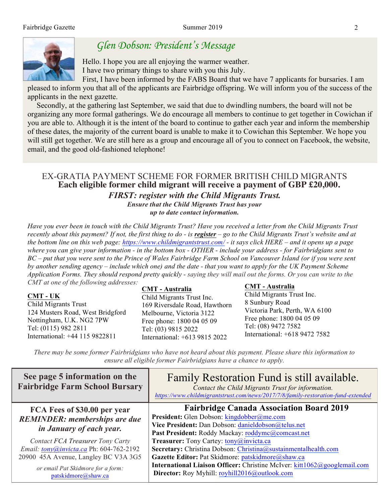

## *Glen Dobson: President's Message*

Hello. I hope you are all enjoying the warmer weather. I have two primary things to share with you this July.

First, I have been informed by the FABS Board that we have 7 applicants for bursaries. I am pleased to inform you that all of the applicants are Fairbridge offspring. We will inform you of the success of the applicants in the next gazette.

Secondly, at the gathering last September, we said that due to dwindling numbers, the board will not be organizing any more formal gatherings. We do encourage all members to continue to get together in Cowichan if you are able to. Although it is the intent of the board to continue to gather each year and inform the membership of these dates, the majority of the current board is unable to make it to Cowichan this September. We hope you will still get together. We are still here as a group and encourage all of you to connect on Facebook, the website, email, and the good old-fashioned telephone!

## EX-GRATIA PAYMENT SCHEME FOR FORMER BRITISH CHILD MIGRANTS Each eligible former child migrant will receive a payment of GBP £20,000. *FIRST: register with the Child Migrants Trust.*

*Ensure that the Child Migrants Trust has your up to date contact information.*

*Have you ever been in touch with the Child Migrants Trust? Have you received a letter from the Child Migrants Trust recently about this payment? If not, the first thing to do - is register – go to the Child Migrants Trust's website and at the bottom line on this web page: https://www.childmigrantstrust.com/ - it says click HERE – and it opens up a page where you can give your information - in the bottom box - OTHER - include your address - for Fairbridgians sent to BC – put that you were sent to the Prince of Wales Fairbridge Farm School on Vancouver Island (or if you were sent by another sending agency – include which one) and the date - that you want to apply for the UK Payment Scheme Application Forms. They should respond pretty quickly - saying they will mail out the forms. Or you can write to the CMT at one of the following addresses:* CMT - Australia

|--|

CMT - Australia

*There may be some former Fairbridgians who have not heard about this payment. Please share this information to ensure all eligible former Fairbridgians have a chance to apply.* 

| See page 5 information on the<br><b>Fairbridge Farm School Bursary</b>                           | Family Restoration Fund is still available.<br>Contact the Child Migrants Trust for information.<br>https://www.childmigrantstrust.com/news/2017/7/8/family-restoration-fund-extended                   |
|--------------------------------------------------------------------------------------------------|---------------------------------------------------------------------------------------------------------------------------------------------------------------------------------------------------------|
| FCA Fees of \$30.00 per year<br><b>REMINDER:</b> memberships are due<br>in January of each year. | <b>Fairbridge Canada Association Board 2019</b><br>President: Glen Dobson: kingdobber@me.com<br>Vice President: Dan Dobson: danieldobson@telus.net<br>Past President: Roddy Mackay: roddymc@comcast.net |
| Contact FCA Treasurer Tony Carty<br>Email: tony@invicta.ca Ph: 604-762-2192                      | Treasurer: Tony Cartey: tony@invicta.ca<br>Secretary: Christina Dobson: Christina@sustainmentalhealth.com                                                                                               |
| 20900 45A Avenue, Langley BC V3A 3G5<br>or email Pat Skidmore for a form:                        | Gazette Editor: Pat Skidmore: patskidmore@shaw.ca<br>International Liaison Officer: Christine McIver: kitt1062@googlemail.com                                                                           |
| patskidmore@shaw.ca                                                                              | Director: Roy Myhill: royhill2016@outlook.com                                                                                                                                                           |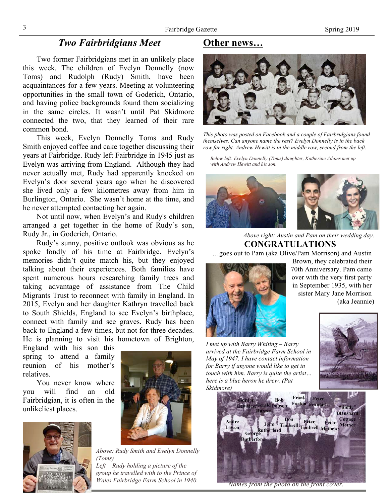## *Two Fairbridgians Meet*

Two former Fairbridgians met in an unlikely place this week. The children of Evelyn Donnelly (now Toms) and Rudolph (Rudy) Smith, have been acquaintances for a few years. Meeting at volunteering opportunities in the small town of Goderich, Ontario, and having police backgrounds found them socializing in the same circles. It wasn't until Pat Skidmore connected the two, that they learned of their rare common bond.

This week, Evelyn Donnelly Toms and Rudy Smith enjoyed coffee and cake together discussing their years at Fairbridge. Rudy left Fairbridge in 1945 just as Evelyn was arriving from England. Although they had never actually met, Rudy had apparently knocked on Evelyn's door several years ago when he discovered she lived only a few kilometres away from him in Burlington, Ontario. She wasn't home at the time, and he never attempted contacting her again.

Not until now, when Evelyn's and Rudy's children arranged a get together in the home of Rudy's son, Rudy Jr., in Goderich, Ontario.

Rudy's sunny, positive outlook was obvious as he spoke fondly of his time at Fairbridge. Evelyn's memories didn't quite match his, but they enjoyed talking about their experiences. Both families have spent numerous hours researching family trees and taking advantage of assistance from The Child Migrants Trust to reconnect with family in England. In 2015, Evelyn and her daughter Kathryn travelled back to South Shields, England to see Evelyn's birthplace, connect with family and see graves. Rudy has been back to England a few times, but not for three decades. He is planning to visit his hometown of Brighton,

England with his son this spring to attend a family reunion of his mother's relatives.

You never know where you will find an old Fairbridgian, it is often in the unlikeliest places.



*Above: Rudy Smith and Evelyn Donnelly (Toms) Left – Rudy holding a picture of the* 

*group he travelled with to the Prince of Wales Fairbridge Farm School in 1940.*

## Other news…



*This photo was posted on Facebook and a couple of Fairbridgians found themselves. Can anyone name the rest? Evelyn Donnelly is in the back row far right. Andrew Hewitt is in the middle row, second from the left.*

*Below left: Evelyn Donnelly (Toms) daughter, Katherine Adams met up with Andrew Hewitt and his son.*



*Above right: Austin and Pam on their wedding day.* CONGRATULATIONS

…goes out to Pam (aka Olive/Pam Morrison) and Austin



Brown, they celebrated their 70th Anniversary. Pam came over with the very first party in September 1935, with her sister Mary Jane Morrison (aka Jeannie)

*I met up with Barry Whiting – Barry arrived at the Fairbridge Farm School in May of 1947. I have contact information for Barry if anyone would like to get in touch with him. Barry is quite the artist… here is a blue heron he drew. (Pat Skidmore)*





*Names from the photo on the front cover.*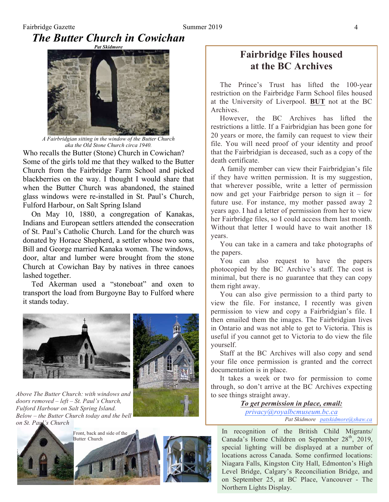## Fairbridge Gazette **Summer 2019** 4 *The Butter Church in Cowichan*



*A Fairbridgian sitting in the window of the Butter Church aka the Old Stone Church circa 1940.*

Who recalls the Butter (Stone) Church in Cowichan? Some of the girls told me that they walked to the Butter Church from the Fairbridge Farm School and picked blackberries on the way. I thought I would share that when the Butter Church was abandoned, the stained glass windows were re-installed in St. Paul's Church, Fulford Harbour, on Salt Spring Island

On May 10, 1880, a congregation of Kanakas, Indians and European settlers attended the consecration of St. Paul's Catholic Church. Land for the church was donated by Horace Shepherd, a settler whose two sons, Bill and George married Kanaka women. The windows, door, altar and lumber were brought from the stone Church at Cowichan Bay by natives in three canoes lashed together.

Ted Akerman used a "stoneboat" and oxen to transport the load from Burgoyne Bay to Fulford where it stands today.





*Above The Butter Church: with windows and doors removed – left – St. Paul's Church, Fulford Harbour on Salt Spring Island. Below – the Butter Church today and the bell on St. Paul's Church*







## Fairbridge Files housed at the BC Archives

The Prince's Trust has lifted the 100-year restriction on the Fairbridge Farm School files housed at the University of Liverpool. BUT not at the BC Archives.

However, the BC Archives has lifted the restrictions a little. If a Fairbridgian has been gone for 20 years or more, the family can request to view their file. You will need proof of your identity and proof that the Fairbridgian is deceased, such as a copy of the death certificate.

A family member can view their Fairbridgian's file if they have written permission. It is my suggestion, that wherever possible, write a letter of permission now and get your Fairbridge person to sign it – for future use. For instance, my mother passed away 2 years ago. I had a letter of permission from her to view her Fairbridge files, so I could access them last month. Without that letter I would have to wait another 18 years.

You can take in a camera and take photographs of the papers.

You can also request to have the papers photocopied by the BC Archive's staff. The cost is minimal, but there is no guarantee that they can copy them right away.

You can also give permission to a third party to view the file. For instance, I recently was given permission to view and copy a Fairbridgian's file. I then emailed them the images. The Fairbridgian lives in Ontario and was not able to get to Victoria. This is useful if you cannot get to Victoria to do view the file yourself.

Staff at the BC Archives will also copy and send your file once permission is granted and the correct documentation is in place.

It takes a week or two for permission to come through, so don't arrive at the BC Archives expecting to see things straight away.

> *To get permission in place, email: privacy@royalbcmuseum.bc.ca*

> > *Pat Skidmore patskidmore@shaw.ca*

In recognition of the British Child Migrants/ Canada's Home Children on September  $28<sup>th</sup>$ , 2019, special lighting will be displayed at a number of locations across Canada. Some confirmed locations: Niagara Falls, Kingston City Hall, Edmonton's High Level Bridge, Calgary's Reconciliation Bridge, and on September 25, at BC Place, Vancouver - The Northern Lights Display.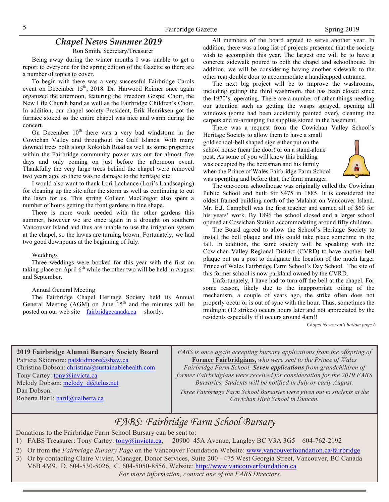### *Chapel News Summer 2019*

Ron Smith, Secretary/Treasurer

Being away during the winter months I was unable to get a report to everyone for the spring edition of the Gazette so there are a number of topics to cover.

To begin with there was a very successful Fairbridge Carols event on December  $15<sup>th</sup>$ , 2018. Dr. Harwood Reimer once again organized the afternoon, featuring the Freedom Gospel Choir, the New Life Church band as well as the Fairbridge Children's Choir. In addition, our chapel society President, Erik Henriksen got the furnace stoked so the entire chapel was nice and warm during the concert.

On December  $10^{th}$  there was a very bad windstorm in the Cowichan Valley and throughout the Gulf Islands. With many downed trees both along Koksilah Road as well as some properties within the Fairbridge community power was out for almost five days and only coming on just before the afternoon event. Thankfully the very large trees behind the chapel were removed two years ago, so there was no damage to the heritage site.

I would also want to thank Lori Lachance (Lori's Landscaping) for cleaning up the site after the storm as well as continuing to cut the lawn for us. This spring Colleen MacGregor also spent a number of hours getting the front gardens in fine shape.

There is more work needed with the other gardens this summer, however we are once again in a drought on southern Vancouver Island and thus are unable to use the irrigation system at the chapel, so the lawns are turning brown. Fortunately, we had two good downpours at the beginning of July.

#### Weddings

Three weddings were booked for this year with the first on taking place on April  $6<sup>th</sup>$  while the other two will be held in August and September.

#### Annual General Meeting

The Fairbridge Chapel Heritage Society held its Annual General Meeting  $(AGM)$  on June  $15<sup>th</sup>$  and the minutes will be posted on our web site—fairbridgecanada.ca —shortly.

All members of the board agreed to serve another year. In addition, there was a long list of projects presented that the society wish to accomplish this year. The largest one will be to have a concrete sidewalk poured to both the chapel and schoolhouse. In addition, we will be considering having another sidewalk to the other rear double door to accommodate a handicapped entrance.

The next big project will be to improve the washrooms, including getting the third washroom, that has been closed since the 1970's, operating. There are a number of other things needing our attention such as getting the wasps sprayed, opening all windows (some had been accidently painted over), cleaning the carpets and re-arranging the supplies stored in the basement.

There was a request from the Cowichan Valley School's

Heritage Society to allow them to have a small gold school-bell shaped sign either put on the school house (near the door) or on a stand-alone post. As some of you will know this building was occupied by the herdsman and his family when the Prince of Wales Fairbridge Farm School was operating and before that, the farm manager.



The one-room schoolhouse was originally called the Cowichan Public School and built for \$475 in 1885. It is considered the oldest framed building north of the Malahat on Vancouver Island. Mr. E.J. Campbell was the first teacher and earned all of \$60 for his years' work. By 1896 the school closed and a larger school opened at Cowichan Station accommodating around fifty children.

The Board agreed to allow the School's Heritage Society to install the bell plaque and this could take place sometime in the fall. In addition, the same society will be speaking with the Cowichan Valley Regional District (CVRD) to have another bell plaque put on a post to designate the location of the much larger Prince of Wales Fairbridge Farm School's Day School. The site of this former school is now parkland owned by the CVRD.

Unfortunately, I have had to turn off the bell at the chapel. For some reason, likely due to the inappropriate oiling of the mechanism, a couple of years ago, the strike often does not properly occur or is out of sync with the hour. Thus, sometimes the midnight (12 strikes) occurs hours later and not appreciated by the residents especially if it occurs around 4am!!

*Chapel News con't bottom page 6.*

2019 Fairbridge Alumni Bursary Society Board Patricia Skidmore: patskidmore@shaw.ca Christina Dobson: christina@sustainablehealth.com Tony Cartey: tony@invicta.ca Melody Dobson: melody d@telus.net Dan Dobson: Roberta Baril: baril@ualberta.ca *FABS is once again accepting bursary applications from the offspring of*  Former Fairbridgians, *who were sent to the Prince of Wales Fairbridge Farm School. Seven applications from grandchildren of former Fairbridgians were received for consideration for the 2019 FABS Bursaries. Students will be notified in July or early August. Three Fairbridge Farm School Bursaries were given out to students at the Cowichan High School in Duncan.* 

## *FABS: Fairbridge Farm School Bursary*

Donations to the Fairbridge Farm School Bursary can be sent to:

- 1) FABS Treasurer: Tony Cartey: tony@invicta.ca, 20900 45A Avenue, Langley BC V3A 3G5 604-762-2192
- 2) Or from the *Fairbridge Bursary Page* on the Vancouver Foundation Website: www.vancouverfoundation.ca/fairbridge
- 3) Or by contacting Claire Vivier, Manager, Donor Services, Suite 200 475 West Georgia Street, Vancouver, BC Canada V6B 4M9. D. 604-530-5026, C. 604-5050-8556. Website: http://www.vancouverfoundation.ca *For more information, contact one of the FABS Directors.*